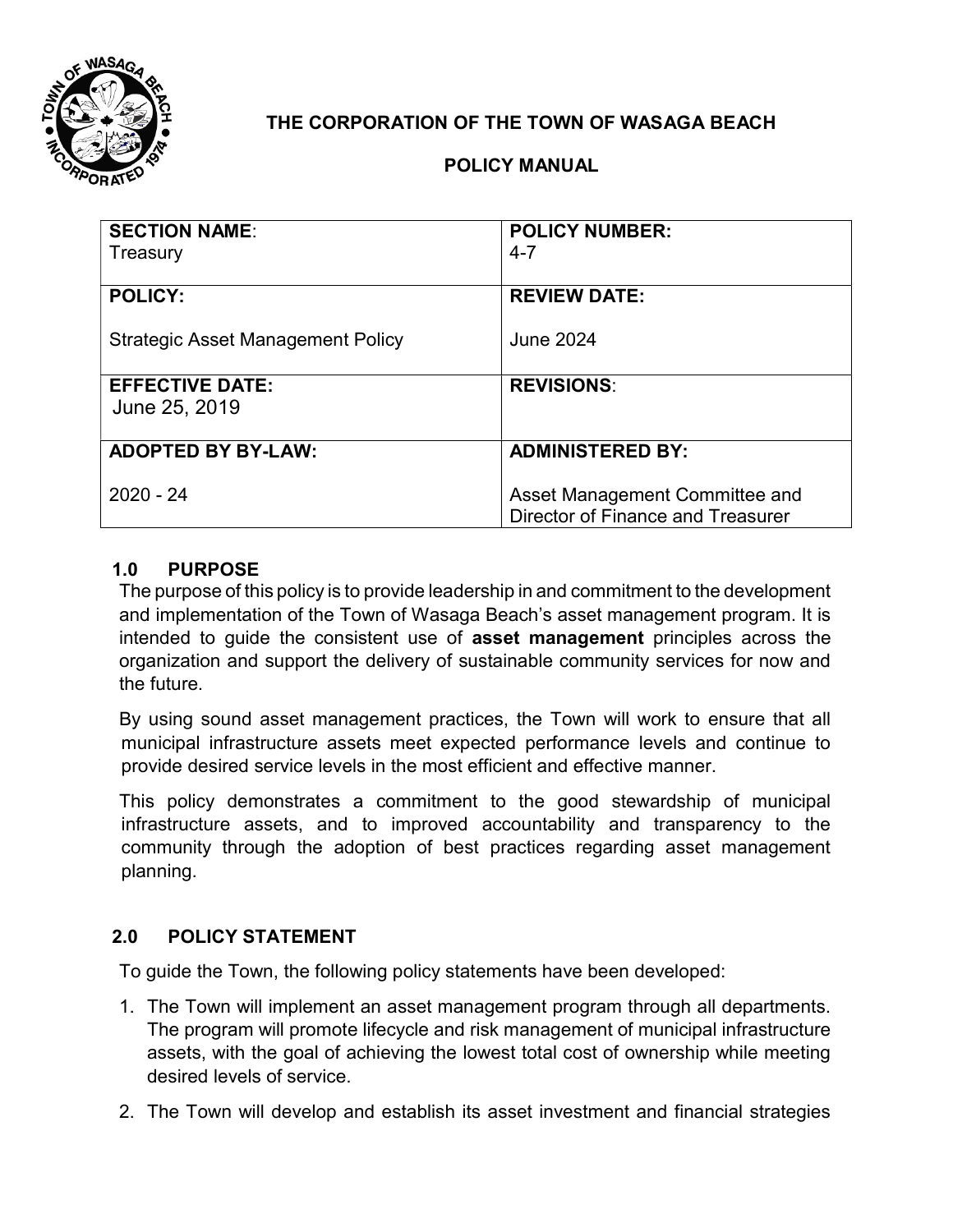

# THE CORPORATION OF THE TOWN OF WASAGA BEACH

## POLICY MANUAL

| <b>SECTION NAME:</b><br>Treasury         | <b>POLICY NUMBER:</b><br>$4 - 7$                                    |
|------------------------------------------|---------------------------------------------------------------------|
| <b>POLICY:</b>                           | <b>REVIEW DATE:</b>                                                 |
| <b>Strategic Asset Management Policy</b> | <b>June 2024</b>                                                    |
| <b>EFFECTIVE DATE:</b><br>June 25, 2019  | <b>REVISIONS:</b>                                                   |
| <b>ADOPTED BY BY-LAW:</b>                | <b>ADMINISTERED BY:</b>                                             |
| $2020 - 24$                              | Asset Management Committee and<br>Director of Finance and Treasurer |

#### 1.0 PURPOSE

The purpose of this policy is to provide leadership in and commitment to the development and implementation of the Town of Wasaga Beach's asset management program. It is intended to guide the consistent use of asset management principles across the organization and support the delivery of sustainable community services for now and the future.

By using sound asset management practices, the Town will work to ensure that all municipal infrastructure assets meet expected performance levels and continue to provide desired service levels in the most efficient and effective manner.

This policy demonstrates a commitment to the good stewardship of municipal infrastructure assets, and to improved accountability and transparency to the community through the adoption of best practices regarding asset management planning.

## 2.0 POLICY STATEMENT

To guide the Town, the following policy statements have been developed:

- 1. The Town will implement an asset management program through all departments. The program will promote lifecycle and risk management of municipal infrastructure assets, with the goal of achieving the lowest total cost of ownership while meeting desired levels of service.
- 2. The Town will develop and establish its asset investment and financial strategies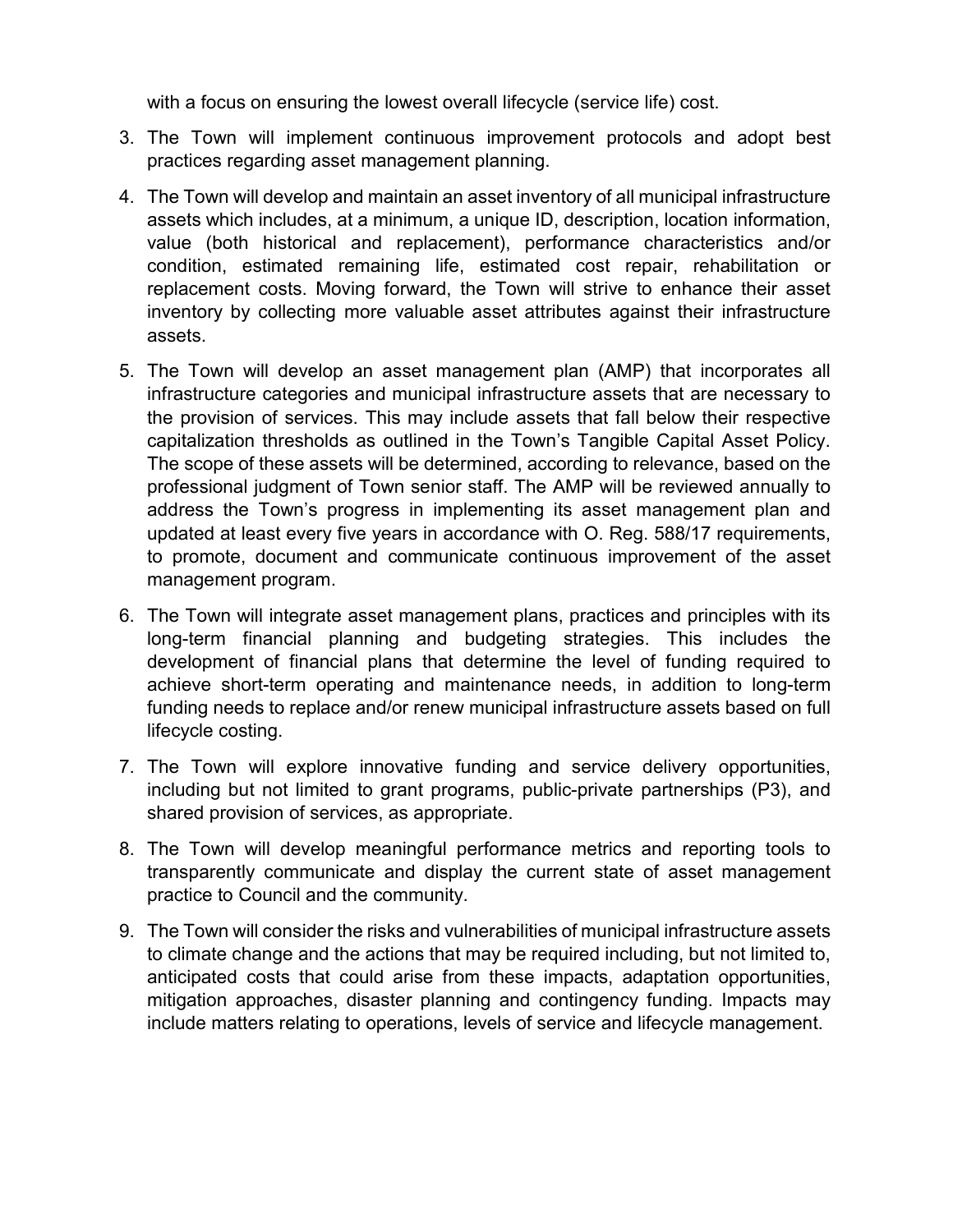with a focus on ensuring the lowest overall lifecycle (service life) cost.

- 3. The Town will implement continuous improvement protocols and adopt best practices regarding asset management planning.
- 4. The Town will develop and maintain an asset inventory of all municipal infrastructure assets which includes, at a minimum, a unique ID, description, location information, value (both historical and replacement), performance characteristics and/or condition, estimated remaining life, estimated cost repair, rehabilitation or replacement costs. Moving forward, the Town will strive to enhance their asset inventory by collecting more valuable asset attributes against their infrastructure assets.
- 5. The Town will develop an asset management plan (AMP) that incorporates all infrastructure categories and municipal infrastructure assets that are necessary to the provision of services. This may include assets that fall below their respective capitalization thresholds as outlined in the Town's Tangible Capital Asset Policy. The scope of these assets will be determined, according to relevance, based on the professional judgment of Town senior staff. The AMP will be reviewed annually to address the Town's progress in implementing its asset management plan and updated at least every five years in accordance with O. Reg. 588/17 requirements, to promote, document and communicate continuous improvement of the asset management program.
- 6. The Town will integrate asset management plans, practices and principles with its long-term financial planning and budgeting strategies. This includes the development of financial plans that determine the level of funding required to achieve short-term operating and maintenance needs, in addition to long-term funding needs to replace and/or renew municipal infrastructure assets based on full lifecycle costing.
- 7. The Town will explore innovative funding and service delivery opportunities, including but not limited to grant programs, public-private partnerships (P3), and shared provision of services, as appropriate.
- 8. The Town will develop meaningful performance metrics and reporting tools to transparently communicate and display the current state of asset management practice to Council and the community.
- 9. The Town will consider the risks and vulnerabilities of municipal infrastructure assets to climate change and the actions that may be required including, but not limited to, anticipated costs that could arise from these impacts, adaptation opportunities, mitigation approaches, disaster planning and contingency funding. Impacts may include matters relating to operations, levels of service and lifecycle management.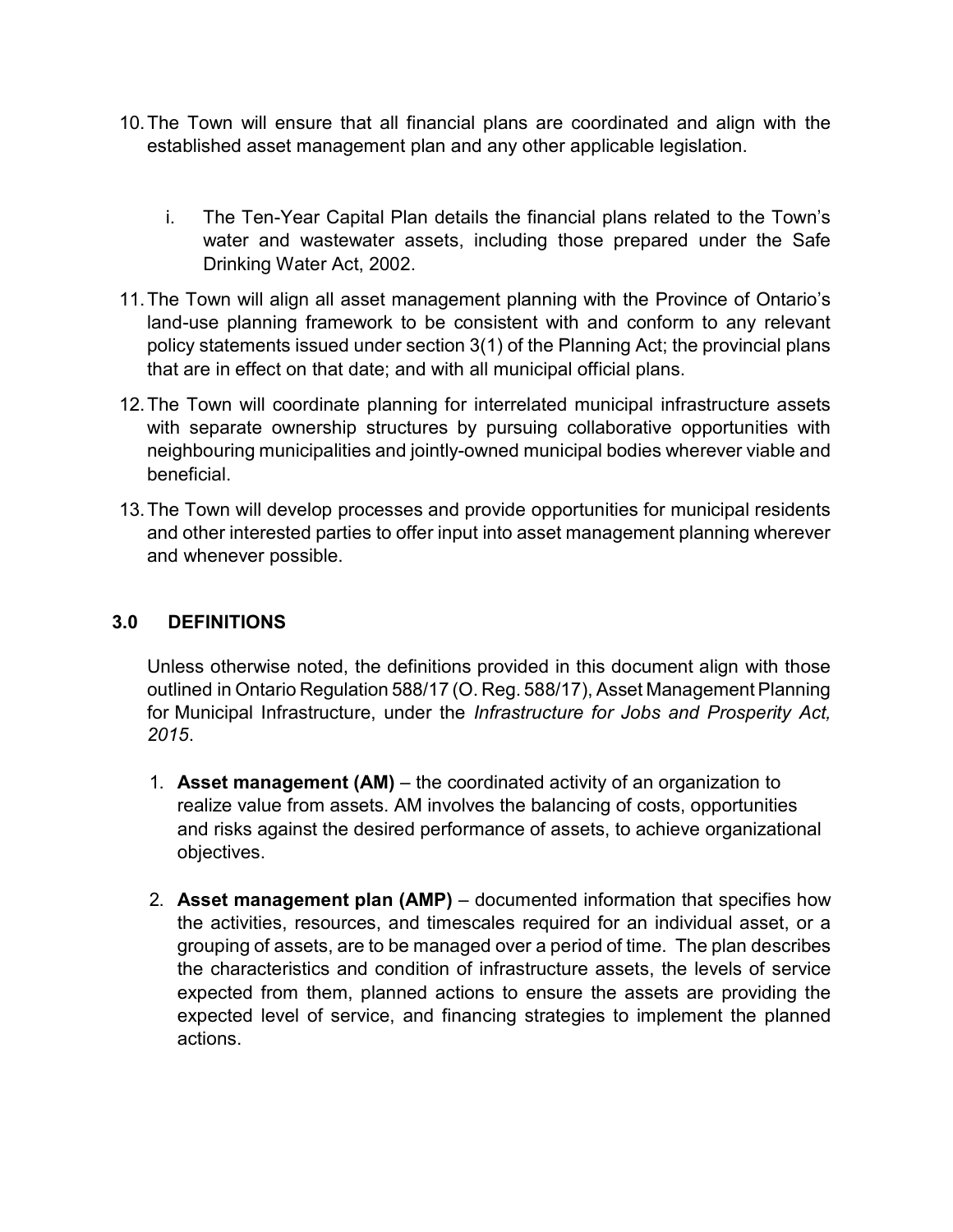- 10. The Town will ensure that all financial plans are coordinated and align with the established asset management plan and any other applicable legislation.
	- i. The Ten-Year Capital Plan details the financial plans related to the Town's water and wastewater assets, including those prepared under the Safe Drinking Water Act, 2002.
- 11. The Town will align all asset management planning with the Province of Ontario's land-use planning framework to be consistent with and conform to any relevant policy statements issued under section 3(1) of the Planning Act; the provincial plans that are in effect on that date; and with all municipal official plans.
- 12. The Town will coordinate planning for interrelated municipal infrastructure assets with separate ownership structures by pursuing collaborative opportunities with neighbouring municipalities and jointly-owned municipal bodies wherever viable and beneficial.
- 13. The Town will develop processes and provide opportunities for municipal residents and other interested parties to offer input into asset management planning wherever and whenever possible.

## 3.0 DEFINITIONS

Unless otherwise noted, the definitions provided in this document align with those outlined in Ontario Regulation 588/17 (O. Reg. 588/17), Asset Management Planning for Municipal Infrastructure, under the Infrastructure for Jobs and Prosperity Act, 2015.

- 1. Asset management  $(AM)$  the coordinated activity of an organization to realize value from assets. AM involves the balancing of costs, opportunities and risks against the desired performance of assets, to achieve organizational objectives.
- 2. Asset management plan (AMP) documented information that specifies how the activities, resources, and timescales required for an individual asset, or a grouping of assets, are to be managed over a period of time. The plan describes the characteristics and condition of infrastructure assets, the levels of service expected from them, planned actions to ensure the assets are providing the expected level of service, and financing strategies to implement the planned actions.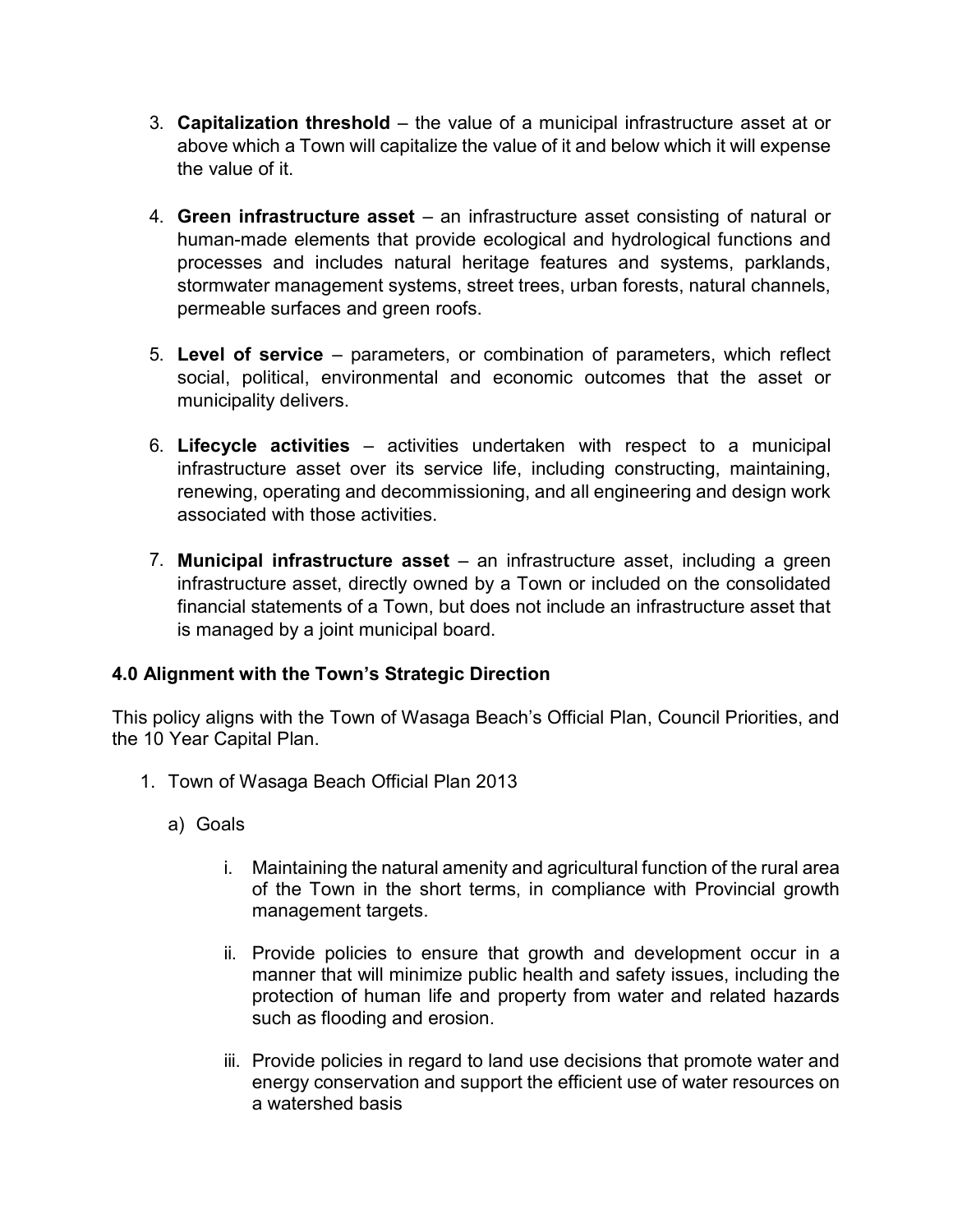- 3. Capitalization threshold the value of a municipal infrastructure asset at or above which a Town will capitalize the value of it and below which it will expense the value of it.
- 4. Green infrastructure asset an infrastructure asset consisting of natural or human-made elements that provide ecological and hydrological functions and processes and includes natural heritage features and systems, parklands, stormwater management systems, street trees, urban forests, natural channels, permeable surfaces and green roofs.
- 5. Level of service parameters, or combination of parameters, which reflect social, political, environmental and economic outcomes that the asset or municipality delivers.
- 6. Lifecycle activities activities undertaken with respect to a municipal infrastructure asset over its service life, including constructing, maintaining, renewing, operating and decommissioning, and all engineering and design work associated with those activities.
- 7. Municipal infrastructure asset an infrastructure asset, including a green infrastructure asset, directly owned by a Town or included on the consolidated financial statements of a Town, but does not include an infrastructure asset that is managed by a joint municipal board.

## 4.0 Alignment with the Town's Strategic Direction

This policy aligns with the Town of Wasaga Beach's Official Plan, Council Priorities, and the 10 Year Capital Plan.

- 1. Town of Wasaga Beach Official Plan 2013
	- a) Goals
		- i. Maintaining the natural amenity and agricultural function of the rural area of the Town in the short terms, in compliance with Provincial growth management targets.
		- ii. Provide policies to ensure that growth and development occur in a manner that will minimize public health and safety issues, including the protection of human life and property from water and related hazards such as flooding and erosion.
		- iii. Provide policies in regard to land use decisions that promote water and energy conservation and support the efficient use of water resources on a watershed basis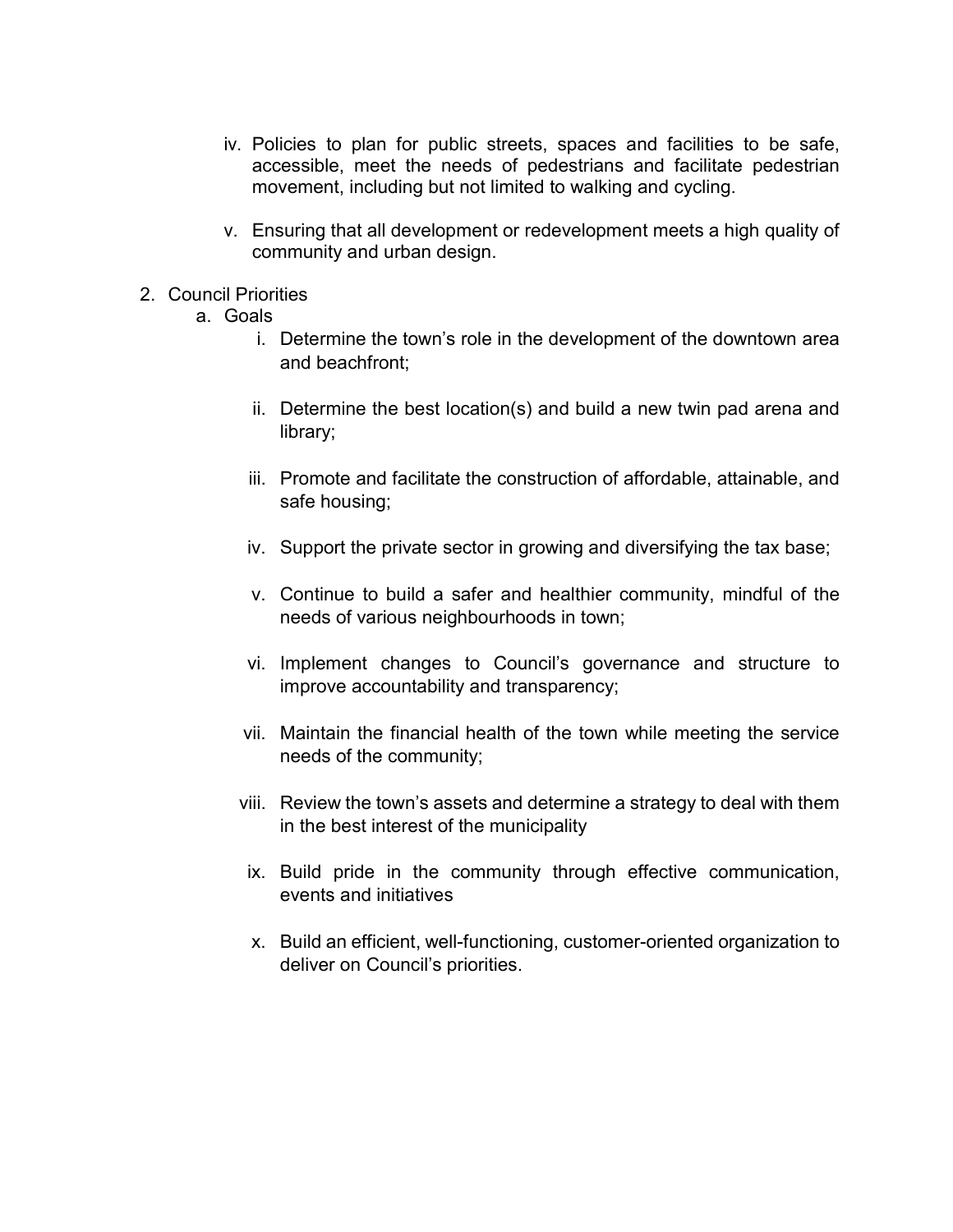- iv. Policies to plan for public streets, spaces and facilities to be safe, accessible, meet the needs of pedestrians and facilitate pedestrian movement, including but not limited to walking and cycling.
- v. Ensuring that all development or redevelopment meets a high quality of community and urban design.
- 2. Council Priorities
	- a. Goals
		- i. Determine the town's role in the development of the downtown area and beachfront;
		- ii. Determine the best location(s) and build a new twin pad arena and library;
		- iii. Promote and facilitate the construction of affordable, attainable, and safe housing;
		- iv. Support the private sector in growing and diversifying the tax base;
		- v. Continue to build a safer and healthier community, mindful of the needs of various neighbourhoods in town;
		- vi. Implement changes to Council's governance and structure to improve accountability and transparency;
		- vii. Maintain the financial health of the town while meeting the service needs of the community;
		- viii. Review the town's assets and determine a strategy to deal with them in the best interest of the municipality
		- ix. Build pride in the community through effective communication, events and initiatives
		- x. Build an efficient, well-functioning, customer-oriented organization to deliver on Council's priorities.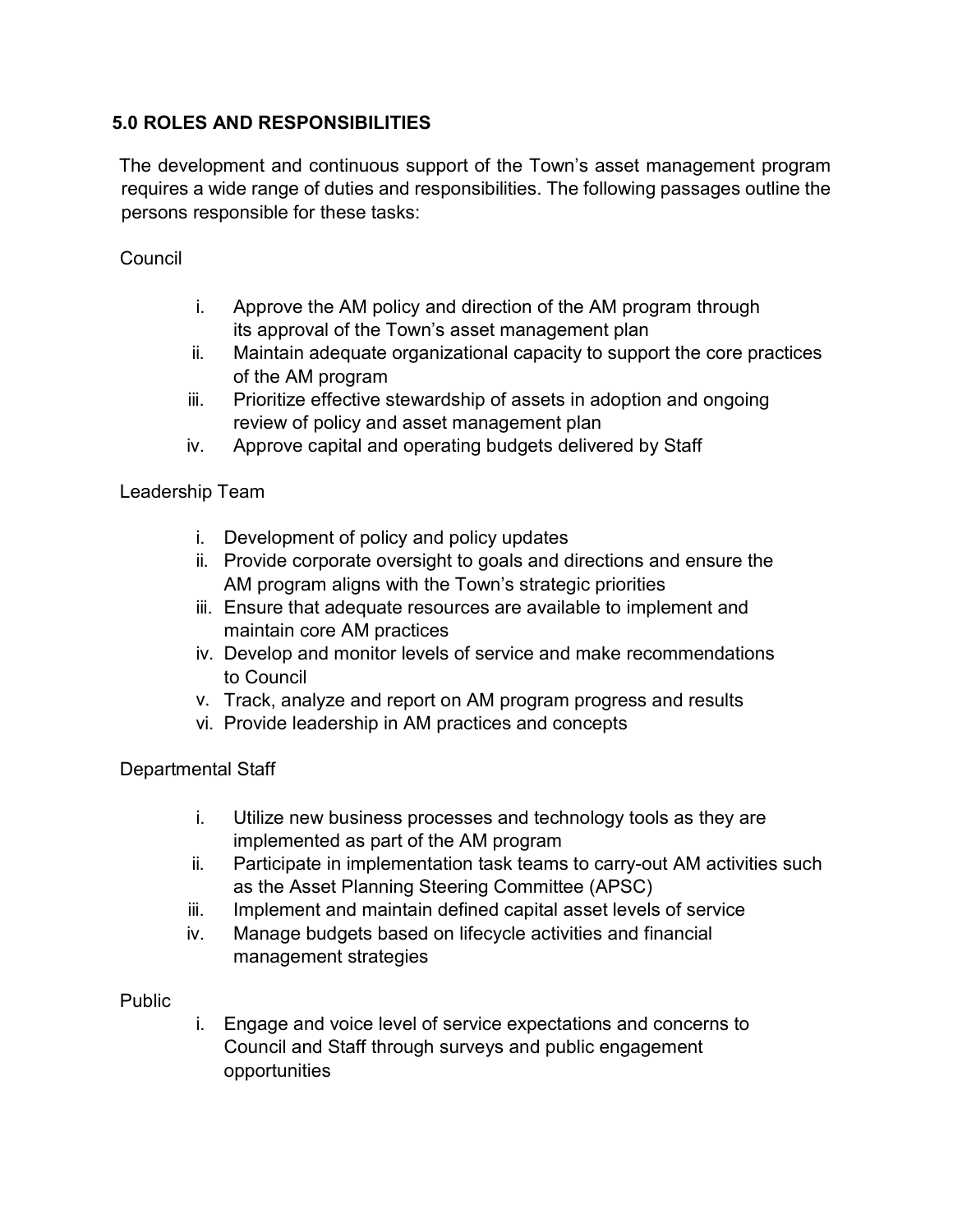## 5.0 ROLES AND RESPONSIBILITIES

The development and continuous support of the Town's asset management program requires a wide range of duties and responsibilities. The following passages outline the persons responsible for these tasks:

**Council** 

- i. Approve the AM policy and direction of the AM program through its approval of the Town's asset management plan
- ii. Maintain adequate organizational capacity to support the core practices of the AM program
- iii. Prioritize effective stewardship of assets in adoption and ongoing review of policy and asset management plan
- iv. Approve capital and operating budgets delivered by Staff

Leadership Team

- i. Development of policy and policy updates
- ii. Provide corporate oversight to goals and directions and ensure the AM program aligns with the Town's strategic priorities
- iii. Ensure that adequate resources are available to implement and maintain core AM practices
- iv. Develop and monitor levels of service and make recommendations to Council
- v. Track, analyze and report on AM program progress and results
- vi. Provide leadership in AM practices and concepts

Departmental Staff

- i. Utilize new business processes and technology tools as they are implemented as part of the AM program
- ii. Participate in implementation task teams to carry-out AM activities such as the Asset Planning Steering Committee (APSC)
- iii. Implement and maintain defined capital asset levels of service
- iv. Manage budgets based on lifecycle activities and financial management strategies

#### Public

i. Engage and voice level of service expectations and concerns to Council and Staff through surveys and public engagement opportunities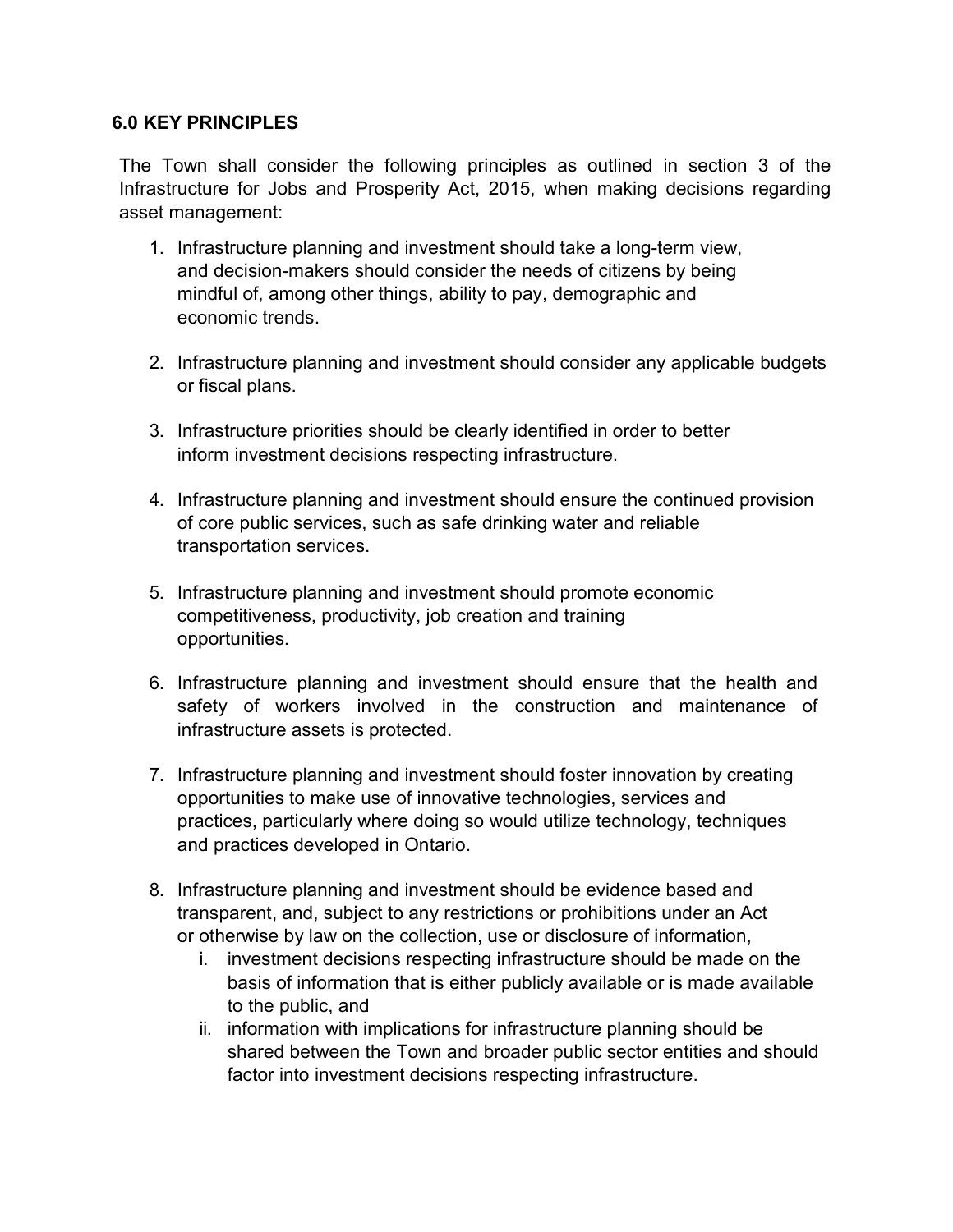#### 6.0 KEY PRINCIPLES

The Town shall consider the following principles as outlined in section 3 of the Infrastructure for Jobs and Prosperity Act, 2015, when making decisions regarding asset management:

- 1. Infrastructure planning and investment should take a long-term view, and decision-makers should consider the needs of citizens by being mindful of, among other things, ability to pay, demographic and economic trends.
- 2. Infrastructure planning and investment should consider any applicable budgets or fiscal plans.
- 3. Infrastructure priorities should be clearly identified in order to better inform investment decisions respecting infrastructure.
- 4. Infrastructure planning and investment should ensure the continued provision of core public services, such as safe drinking water and reliable transportation services.
- 5. Infrastructure planning and investment should promote economic competitiveness, productivity, job creation and training opportunities.
- 6. Infrastructure planning and investment should ensure that the health and safety of workers involved in the construction and maintenance of infrastructure assets is protected.
- 7. Infrastructure planning and investment should foster innovation by creating opportunities to make use of innovative technologies, services and practices, particularly where doing so would utilize technology, techniques and practices developed in Ontario.
- 8. Infrastructure planning and investment should be evidence based and transparent, and, subject to any restrictions or prohibitions under an Act or otherwise by law on the collection, use or disclosure of information,
	- i. investment decisions respecting infrastructure should be made on the basis of information that is either publicly available or is made available to the public, and
	- ii. information with implications for infrastructure planning should be shared between the Town and broader public sector entities and should factor into investment decisions respecting infrastructure.